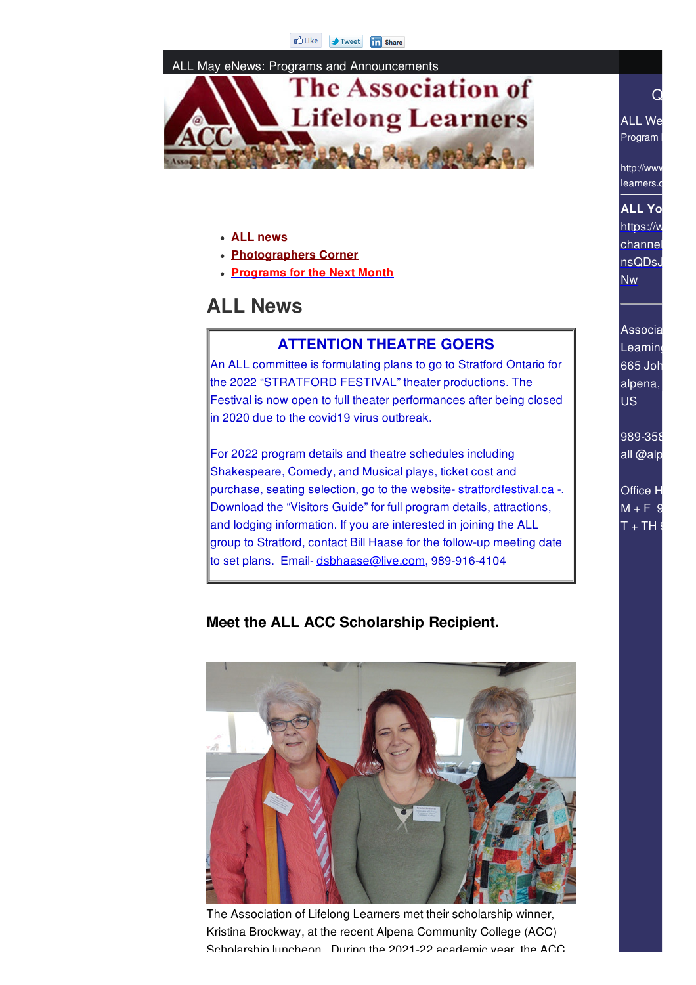#### ALL May eNews: Programs and Announcements



#### **ALL news**

- **Photographers Corner**
- **Programs for the Next Month**

# **ALL News**

#### **ATTENTION THEATRE GOERS**

An ALL committee is formulating plans to go to Stratford Ontario for the 2022 "STRATFORD FESTIVAL" theater productions. The Festival is now open to full theater performances after being closed  $\parallel$ in 2020 due to the covid19 virus outbreak.

For 2022 program details and theatre schedules including Shakespeare, Comedy, and Musical plays, ticket cost and purchase, seating selection, go to the website- stratfordfestival.ca -. Download the "Visitors Guide" for full program details, attractions, and lodging information. If you are interested in joining the ALL group to Stratford, contact Bill Haase for the follow-up meeting date to set plans. Email- dsbhaase@live.com, 989-916-4104

## Associa **Learning**  $665$  Joh alpena, **US**

ALL We Program

http://www learners.c

**ALL** Yo https://w channel nsQDsJ Nw

 $\hbox{\large \it Q}$  and  $\hbox{\large \it Q}$ 

989-358 all @alp

**Office H**  $M + F$  9  $T + TH$ 

## **Meet the ALL ACC Scholarship Recipient.**



The Association of Lifelong Learners met their scholarship winner, Kristina Brockway, at the recent Alpena Community College (ACC) Scholarship luncheon. During the 2021-22 academic year, the ACC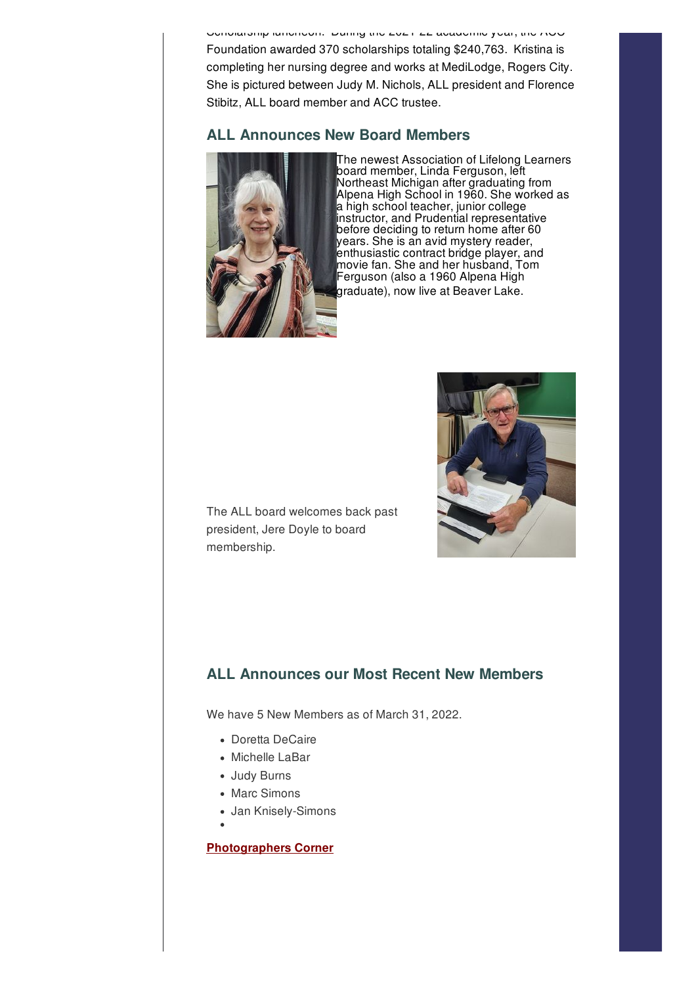Scholarship luncheon. During the 2021-22 academic year, the ACC Foundation awarded 370 scholarships totaling \$240,763. Kristina is completing her nursing degree and works at MediLodge, Rogers City. She is pictured between Judy M. Nichols, ALL president and Florence Stibitz, ALL board member and ACC trustee.

# **ALL Announces New Board Members**



The newest Association of Lifelong Learners board member, Linda Ferguson, left Northeast Michigan after graduating from Alpena High School in 1960. She worked as a high school teacher, junior college instructor, and Prudential representative before deciding to return home after 60 years. She is an avid mystery reader, enthusiastic contract bridge player, and movie fan. She and her husband, Tom Ferguson (also a 1960 Alpena High graduate), now live at Beaver Lake.



The ALL board welcomes back past president, Jere Doyle to board membership.

## **ALL Announces our Most Recent New Members**

We have 5 New Members as of March 31, 2022.

- Doretta DeCaire
- Michelle LaBar
- Judy Burns
- Marc Simons
- Jan Knisely-Simons
	-

#### **Photographers Corner**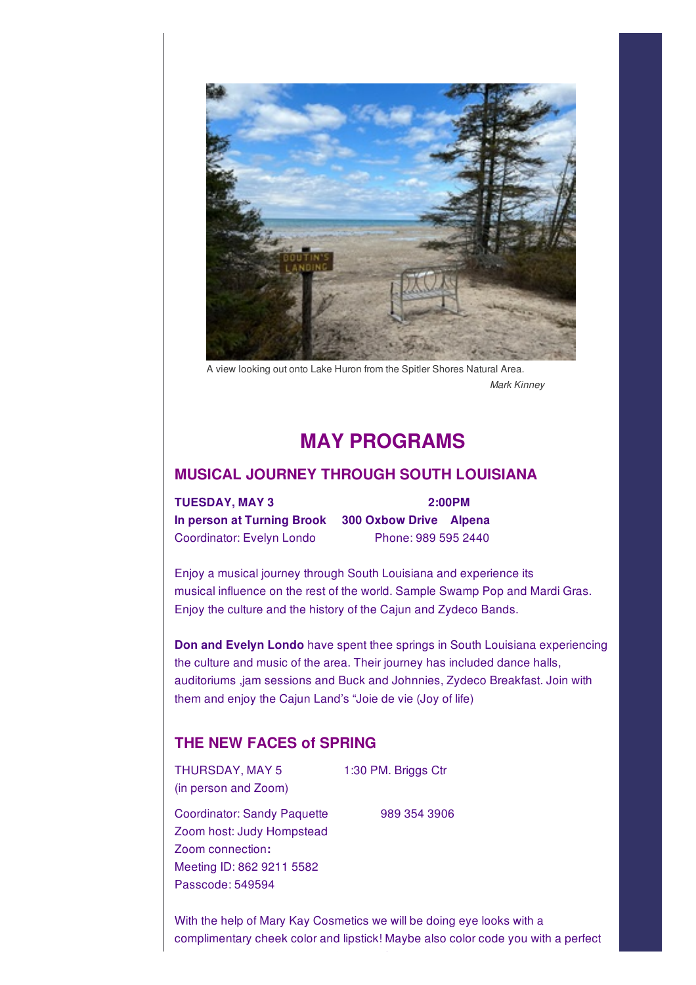

A view looking out onto Lake Huron from the Spitler Shores Natural Area. *Mark Kinney*

# Programs **MAY PROGRAMS**

#### **MUSICAL JOURNEY THROUGH SOUTH LOUISIANA**

**TUESDAY, MAY 3 2:00PM In person at Turning Brook 300 Oxbow Drive Alpena** Coordinator: Evelyn Londo Phone: 989 595 2440

Enjoy a musical journey through South Louisiana and experience its musical influence on the rest of the world. Sample Swamp Pop and Mardi Gras. Enjoy the culture and the history of the Cajun and Zydeco Bands.

**Don and Evelyn Londo** have spent thee springs in South Louisiana experiencing the culture and music of the area. Their journey has included dance halls, auditoriums ,jam sessions and Buck and Johnnies, Zydeco Breakfast. Join with them and enjoy the Cajun Land's "Joie de vie (Joy of life)

## **THE NEW FACES of SPRING**

THURSDAY, MAY 5 1:30 PM. Briggs Ctr (in person and Zoom)

Coordinator: Sandy Paquette 989 354 3906 Zoom host: Judy Hompstead Zoom connection**:** Meeting ID: 862 9211 5582 Passcode: 549594

With the help of Mary Kay Cosmetics we will be doing eye looks with a complimentary cheek color and lipstick! Maybe also color code you with a perfect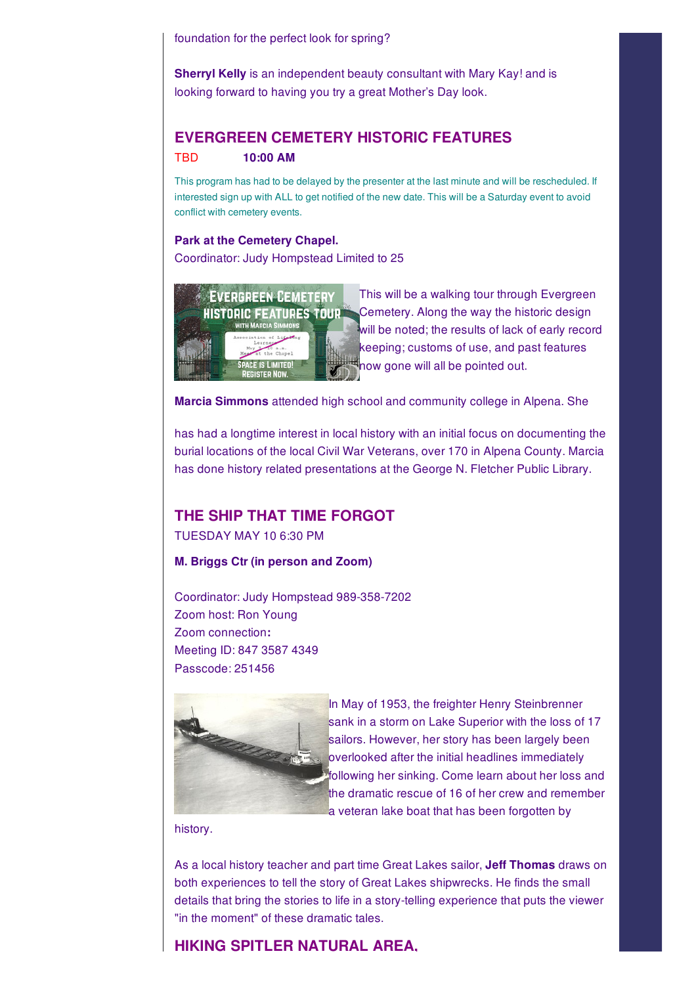foundation for the perfect look for spring?

**Sherryl Kelly** is an independent beauty consultant with Mary Kay! and is looking forward to having you try a great Mother's Day look.

## **EVERGREEN CEMETERY HISTORIC FEATURES** TBD **10:00 AM**

This program has had to be delayed by the presenter at the last minute and will be rescheduled. If interested sign up with ALL to get notified of the new date. This will be a Saturday event to avoid conflict with cemetery events.

#### **Park at the Cemetery Chapel.**

Coordinator: Judy Hompstead Limited to 25



This will be a walking tour through Evergreen Cemetery. Along the way the historic design will be noted; the results of lack of early record keeping; customs of use, and past features **thow gone will all be pointed out.** 

**Marcia Simmons** attended high school and community college in Alpena. She

has had a longtime interest in local history with an initial focus on documenting the burial locations of the local Civil War Veterans, over 170 in Alpena County. Marcia has done history related presentations at the George N. Fletcher Public Library.

#### **THE SHIP THAT TIME FORGOT**

TUESDAY MAY 10 6:30 PM

**M. Briggs Ctr (in person and Zoom)**

Coordinator: Judy Hompstead 989-358-7202 Zoom host: Ron Young Zoom connection**:** Meeting ID: 847 3587 4349 Passcode: 251456



In May of 1953, the freighter Henry Steinbrenner sank in a storm on Lake Superior with the loss of 17 sailors. However, her story has been largely been overlooked after the initial headlines immediately following her sinking. Come learn about her loss and the dramatic rescue of 16 of her crew and remember a veteran lake boat that has been forgotten by

history.

As a local history teacher and part time Great Lakes sailor, **Jeff Thomas** draws on both experiences to tell the story of Great Lakes shipwrecks. He finds the small details that bring the stories to life in a story-telling experience that puts the viewer "in the moment" of these dramatic tales.

## **HIKING SPITLER NATURAL AREA,**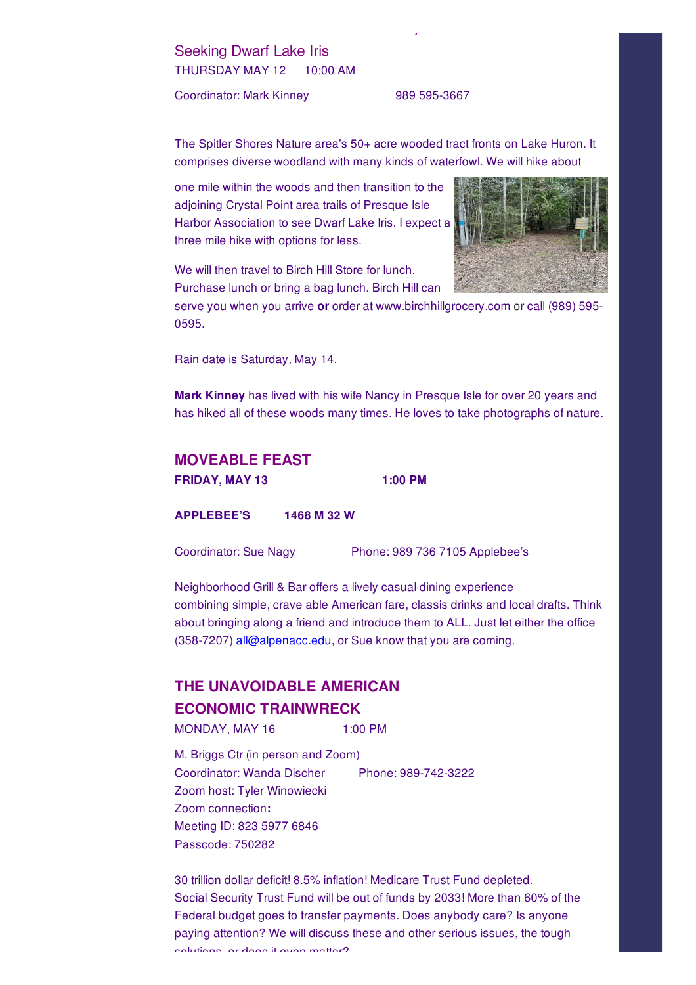# Seeking Dwarf Lake Iris THURSDAY MAY 12 10:00 AM

Coordinator: Mark Kinney 989 595-3667

The Spitler Shores Nature area's 50+ acre wooded tract fronts on Lake Huron. It comprises diverse woodland with many kinds of waterfowl. We will hike about

one mile within the woods and then transition to the adjoining Crystal Point area trails of Presque Isle Harbor Association to see Dwarf Lake Iris. I expect a three mile hike with options for less.

**HIKING SPITLER NATURAL AREA,**



We will then travel to Birch Hill Store for lunch. Purchase lunch or bring a bag lunch. Birch Hill can

serve you when you arrive **or** order at www.birchhillgrocery.com or call (989) 595- 0595.

Rain date is Saturday, May 14.

**Mark Kinney** has lived with his wife Nancy in Presque Isle for over 20 years and has hiked all of these woods many times. He loves to take photographs of nature.

| <b>MOVEABLE FEAST</b> |         |
|-----------------------|---------|
| FRIDAY, MAY 13        | 1:00 PM |
|                       |         |

**APPLEBEE'S 1468 M 32 W**

Coordinator: Sue Nagy Phone: 989 736 7105 Applebee's

Neighborhood Grill & Bar offers a lively casual dining experience combining simple, crave able American fare, classis drinks and local drafts. Think about bringing along a friend and introduce them to ALL. Just let either the office (358-7207) all@alpenacc.edu, or Sue know that you are coming.

# **THE UNAVOIDABLE AMERICAN ECONOMIC TRAINWRECK**

MONDAY, MAY 16 1:00 PM

M. Briggs Ctr (in person and Zoom) Coordinator: Wanda Discher Phone: 989-742-3222 Zoom host: Tyler Winowiecki Zoom connection**:** Meeting ID: 823 5977 6846 Passcode: 750282

30 trillion dollar deficit! 8.5% inflation! Medicare Trust Fund depleted. Social Security Trust Fund will be out of funds by 2033! More than 60% of the Federal budget goes to transfer payments. Does anybody care? Is anyone paying attention? We will discuss these and other serious issues, the tough solutions, or does it even matter?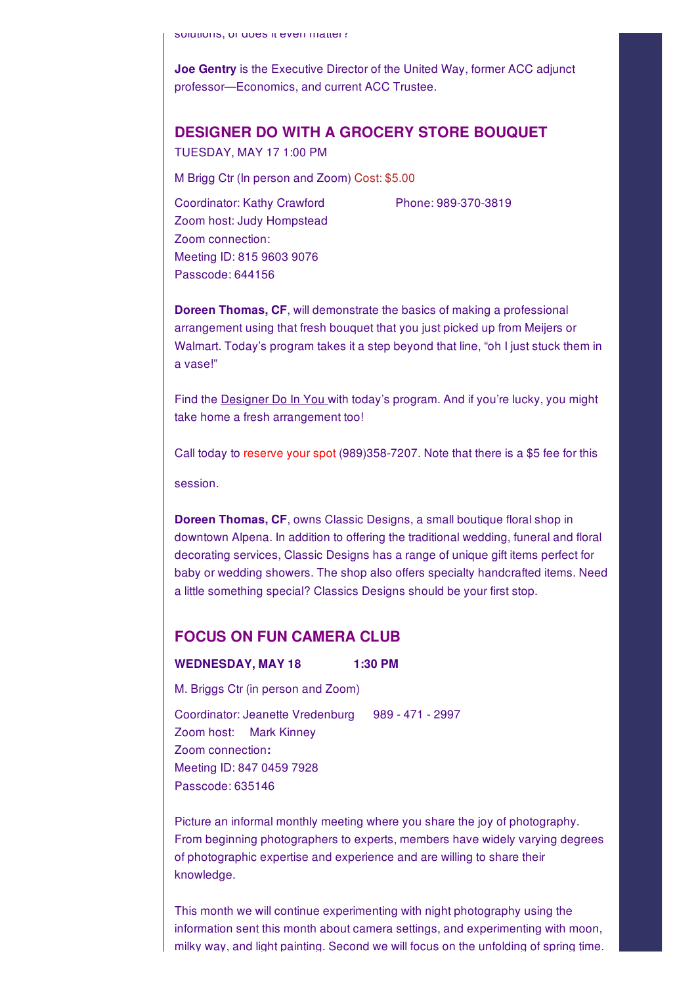solutions, or does it even matter?

**Joe Gentry** is the Executive Director of the United Way, former ACC adjunct professor—Economics, and current ACC Trustee.

#### **DESIGNER DO WITH A GROCERY STORE BOUQUET**

TUESDAY, MAY 17 1:00 PM

M Brigg Ctr (In person and Zoom) Cost: \$5.00

Coordinator: Kathy Crawford Phone: 989-370-3819 Zoom host: Judy Hompstead Zoom connection: Meeting ID: 815 9603 9076 Passcode: 644156

**Doreen Thomas, CF**, will demonstrate the basics of making a professional arrangement using that fresh bouquet that you just picked up from Meijers or Walmart. Today's program takes it a step beyond that line, "oh I just stuck them in a vase!"

Find the **Designer Do In You with today's program.** And if you're lucky, you might take home a fresh arrangement too!

Call today to reserve your spot (989)358-7207. Note that there is a \$5 fee for this

session.

**Doreen Thomas, CF**, owns Classic Designs, a small boutique floral shop in downtown Alpena. In addition to offering the traditional wedding, funeral and floral decorating services, Classic Designs has a range of unique gift items perfect for baby or wedding showers. The shop also offers specialty handcrafted items. Need a little something special? Classics Designs should be your first stop.

## **FOCUS ON FUN CAMERA CLUB**

#### **WEDNESDAY, MAY 18 1:30 PM**

M. Briggs Ctr (in person and Zoom)

Coordinator: Jeanette Vredenburg 989 - 471 - 2997 Zoom host: Mark Kinney Zoom connection**:** Meeting ID: 847 0459 7928 Passcode: 635146

Picture an informal monthly meeting where you share the joy of photography. From beginning photographers to experts, members have widely varying degrees of photographic expertise and experience and are willing to share their knowledge.

This month we will continue experimenting with night photography using the information sent this month about camera settings, and experimenting with moon, milky way, and light painting. Second we will focus on the unfolding of spring time.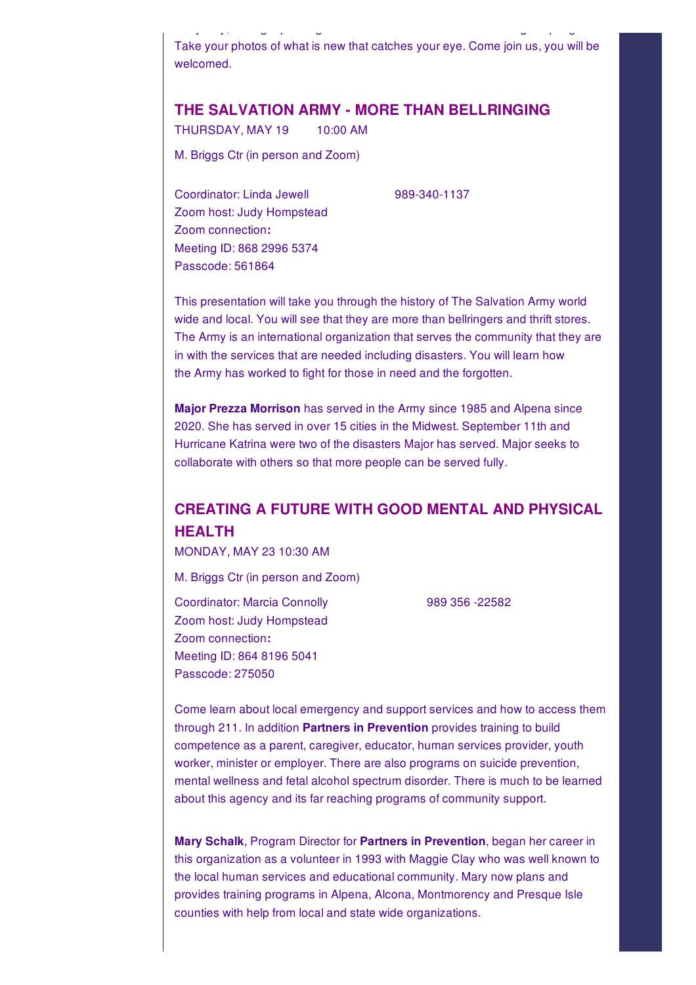Take your photos of what is new that catches your eye. Come join us, you will be welcomed.

milky way, and light painting. Second we will focus on the unfolding of spring time.

# **THE SALVATION ARMY - MORE THAN BELLRINGING**

THURSDAY, MAY 19 10:00 AM

M. Briggs Ctr (in person and Zoom)

Coordinator: Linda Jewell 989-340-1137 Zoom host: Judy Hompstead Zoom connection**:** Meeting ID: 868 2996 5374 Passcode: 561864

This presentation will take you through the history of The Salvation Army world wide and local. You will see that they are more than bellringers and thrift stores. The Army is an international organization that serves the community that they are in with the services that are needed including disasters. You will learn how the Army has worked to fight for those in need and the forgotten.

**Major Prezza Morrison** has served in the Army since 1985 and Alpena since 2020. She has served in over 15 cities in the Midwest. September 11th and Hurricane Katrina were two of the disasters Major has served. Major seeks to collaborate with others so that more people can be served fully.

# **CREATING A FUTURE WITH GOOD MENTAL AND PHYSICAL HEALTH**

MONDAY, MAY 23 10:30 AM

M. Briggs Ctr (in person and Zoom)

Coordinator: Marcia Connolly 989 356 -22582 Zoom host: Judy Hompstead Zoom connection**:** Meeting ID: 864 8196 5041 Passcode: 275050

Come learn about local emergency and support services and how to access them through 211. In addition **Partners in Prevention** provides training to build competence as a parent, caregiver, educator, human services provider, youth worker, minister or employer. There are also programs on suicide prevention, mental wellness and fetal alcohol spectrum disorder. There is much to be learned about this agency and its far reaching programs of community support.

**Mary Schalk**, Program Director for **Partners in Prevention**, began her career in this organization as a volunteer in 1993 with Maggie Clay who was well known to the local human services and educational community. Mary now plans and provides training programs in Alpena, Alcona, Montmorency and Presque Isle counties with help from local and state wide organizations.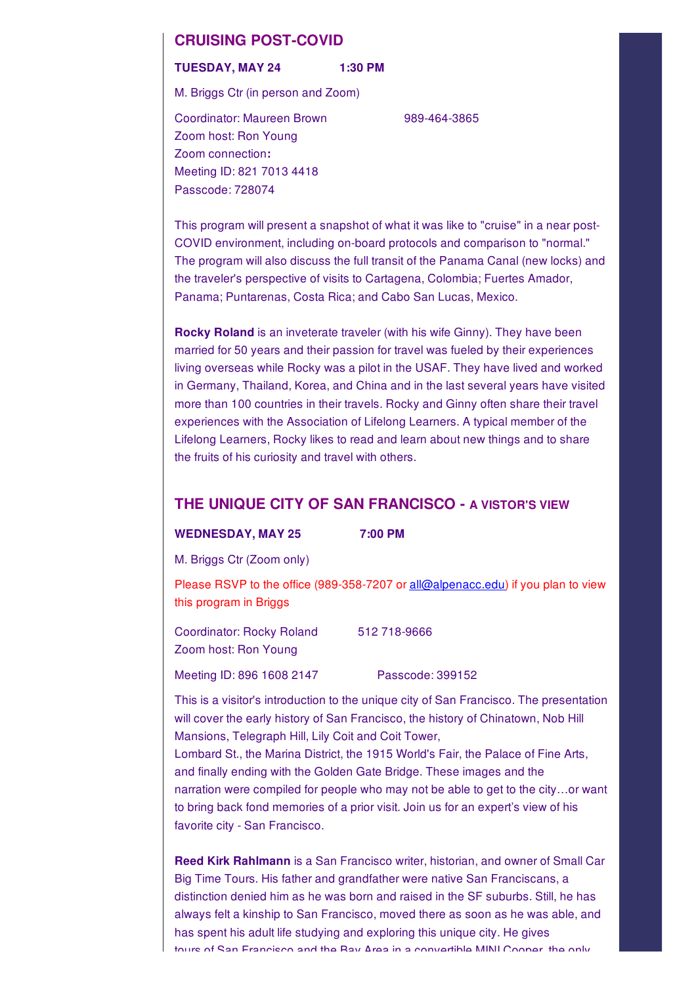#### **CRUISING POST-COVID**

#### **TUESDAY, MAY 24 1:30 PM**

M. Briggs Ctr (in person and Zoom)

Coordinator: Maureen Brown 989-464-3865 Zoom host: Ron Young Zoom connection**:** Meeting ID: 821 7013 4418 Passcode: 728074

This program will present a snapshot of what it was like to "cruise" in a near post-COVID environment, including on-board protocols and comparison to "normal." The program will also discuss the full transit of the Panama Canal (new locks) and the traveler's perspective of visits to Cartagena, Colombia; Fuertes Amador, Panama; Puntarenas, Costa Rica; and Cabo San Lucas, Mexico.

**Rocky Roland** is an inveterate traveler (with his wife Ginny). They have been married for 50 years and their passion for travel was fueled by their experiences living overseas while Rocky was a pilot in the USAF. They have lived and worked in Germany, Thailand, Korea, and China and in the last several years have visited more than 100 countries in their travels. Rocky and Ginny often share their travel experiences with the Association of Lifelong Learners. A typical member of the Lifelong Learners, Rocky likes to read and learn about new things and to share the fruits of his curiosity and travel with others.

#### **THE UNIQUE CITY OF SAN FRANCISCO - A VISTOR'S VIEW**

#### **WEDNESDAY, MAY 25 7:00 PM**

M. Briggs Ctr (Zoom only)

Please RSVP to the office (989-358-7207 or all@alpenacc.edu) if you plan to view this program in Briggs

| <b>Coordinator: Rocky Roland</b><br>Zoom host: Ron Young | 512 718-9666 |
|----------------------------------------------------------|--------------|
|                                                          |              |

This is a visitor's introduction to the unique city of San Francisco. The presentation will cover the early history of San Francisco, the history of Chinatown, Nob Hill Mansions, Telegraph Hill, Lily Coit and Coit Tower, Lombard St., the Marina District, the 1915 World's Fair, the Palace of Fine Arts, and finally ending with the Golden Gate Bridge. These images and the narration were compiled for people who may not be able to get to the city…or want to bring back fond memories of a prior visit. Join us for an expert's view of his favorite city - San Francisco.

**Reed Kirk Rahlmann** is a San Francisco writer, historian, and owner of Small Car Big Time Tours. His father and grandfather were native San Franciscans, a distinction denied him as he was born and raised in the SF suburbs. Still, he has always felt a kinship to San Francisco, moved there as soon as he was able, and has spent his adult life studying and exploring this unique city. He gives tours of San Francisco and the Bay Area in a convertible MINI Cooper, the only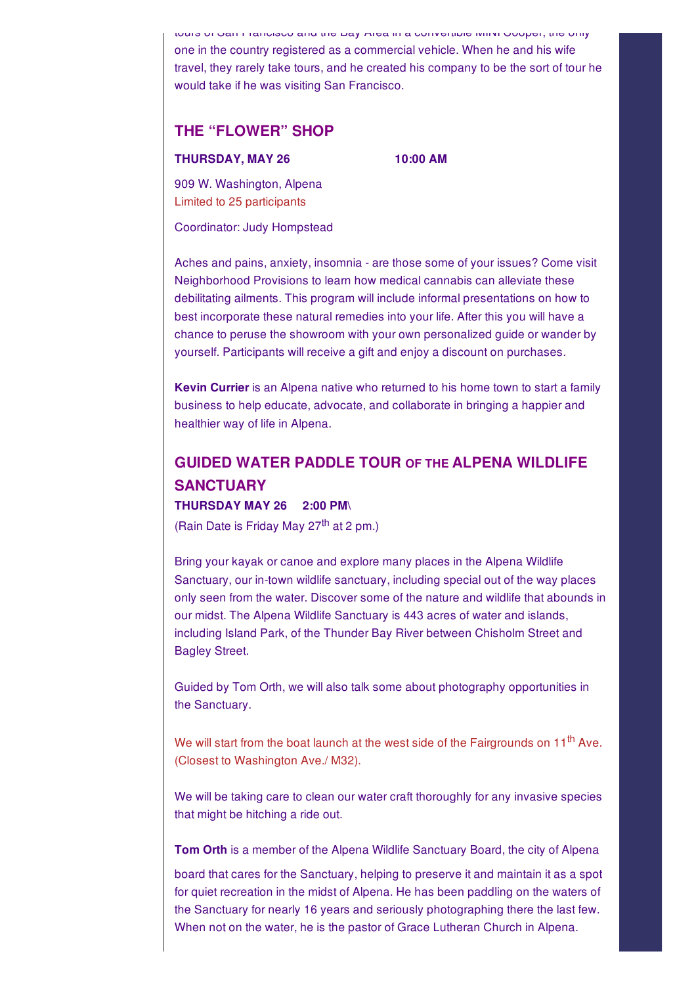tours of San Francisco and the Bay Area in a convertible MINI Cooper, the only one in the country registered as a commercial vehicle. When he and his wife travel, they rarely take tours, and he created his company to be the sort of tour he would take if he was visiting San Francisco.

#### **THE "FLOWER" SHOP**

#### **THURSDAY, MAY 26 10:00 AM**

909 W. Washington, Alpena Limited to 25 participants

Coordinator: Judy Hompstead

Aches and pains, anxiety, insomnia - are those some of your issues? Come visit Neighborhood Provisions to learn how medical cannabis can alleviate these debilitating ailments. This program will include informal presentations on how to best incorporate these natural remedies into your life. After this you will have a chance to peruse the showroom with your own personalized guide or wander by yourself. Participants will receive a gift and enjoy a discount on purchases.

**Kevin Currier** is an Alpena native who returned to his home town to start a family business to help educate, advocate, and collaborate in bringing a happier and healthier way of life in Alpena.

# **GUIDED WATER PADDLE TOUR OF THE ALPENA WILDLIFE SANCTUARY THURSDAY MAY 26 2:00 PM\**

(Rain Date is Friday May 27<sup>th</sup> at 2 pm.)

Bring your kayak or canoe and explore many places in the Alpena Wildlife Sanctuary, our in-town wildlife sanctuary, including special out of the way places only seen from the water. Discover some of the nature and wildlife that abounds in our midst. The Alpena Wildlife Sanctuary is 443 acres of water and islands, including Island Park, of the Thunder Bay River between Chisholm Street and Bagley Street.

Guided by Tom Orth, we will also talk some about photography opportunities in the Sanctuary.

We will start from the boat launch at the west side of the Fairgrounds on 11<sup>th</sup> Ave. (Closest to Washington Ave./ M32).

We will be taking care to clean our water craft thoroughly for any invasive species that might be hitching a ride out.

**Tom Orth** is a member of the Alpena Wildlife Sanctuary Board, the city of Alpena

board that cares for the Sanctuary, helping to preserve it and maintain it as a spot for quiet recreation in the midst of Alpena. He has been paddling on the waters of the Sanctuary for nearly 16 years and seriously photographing there the last few. When not on the water, he is the pastor of Grace Lutheran Church in Alpena.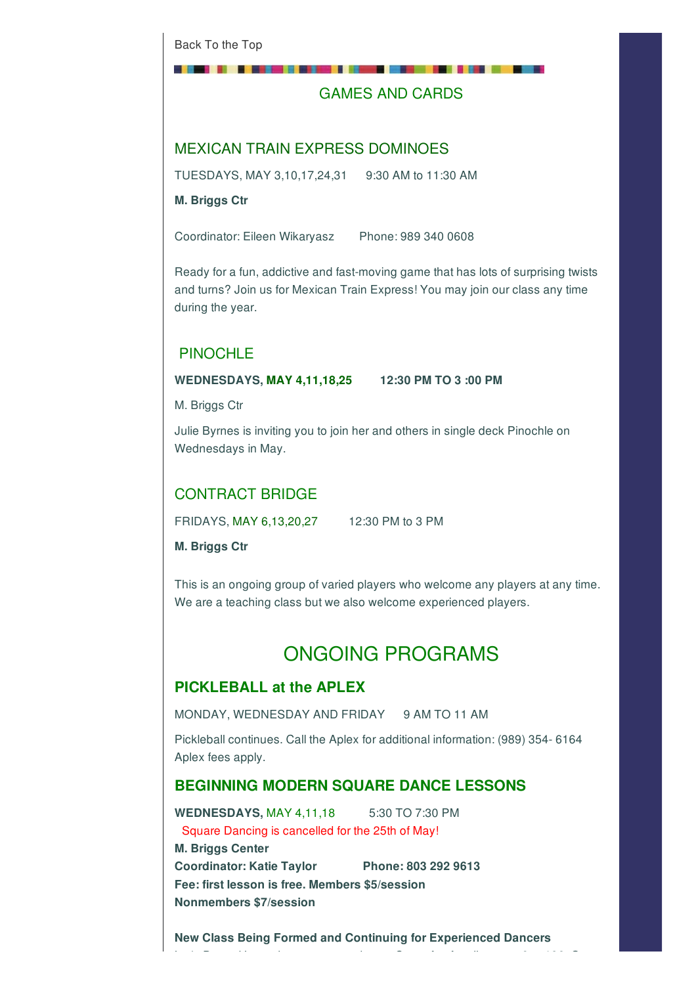## GAMES AND CARDS

## MEXICAN TRAIN EXPRESS DOMINOES

TUESDAYS, MAY 3,10,17,24,31 9:30 AM to 11:30 AM

**M. Briggs Ctr**

Coordinator: Eileen Wikaryasz Phone: 989 340 0608

Ready for a fun, addictive and fast-moving game that has lots of surprising twists and turns? Join us for Mexican Train Express! You may join our class any time during the year.

# **PINOCHLE**

#### **WEDNESDAYS, MAY 4,11,18,25 12:30 PM TO 3 :00 PM**

M. Briggs Ctr

Julie Byrnes is inviting you to join her and others in single deck Pinochle on Wednesdays in May.

# CONTRACT BRIDGE

FRIDAYS, MAY 6,13,20,27 12:30 PM to 3 PM

**M. Briggs Ctr**

This is an ongoing group of varied players who welcome any players at any time. We are a teaching class but we also welcome experienced players.

# ONGOING PROGRAMS

#### **PICKLEBALL at the APLEX**

MONDAY, WEDNESDAY AND FRIDAY 9 AM TO 11 AM

Pickleball continues. Call the Aplex for additional information: (989) 354- 6164 Aplex fees apply.

#### **BEGINNING MODERN SQUARE DANCE LESSONS**

**WEDNESDAYS,** MAY 4,11,18 5:30 TO 7:30 PM Square Dancing is cancelled for the 25th of May! **M. Briggs Center Coordinator: Katie Taylor Phone: 803 292 9613 Fee: first lesson is free. Members \$5/session Nonmembers \$7/session**

**New Class Being Formed and Continuing for Experienced Dancers**

Let's Dance! Learn how to square dance. Super fun for all ages -- 6 to 106. Great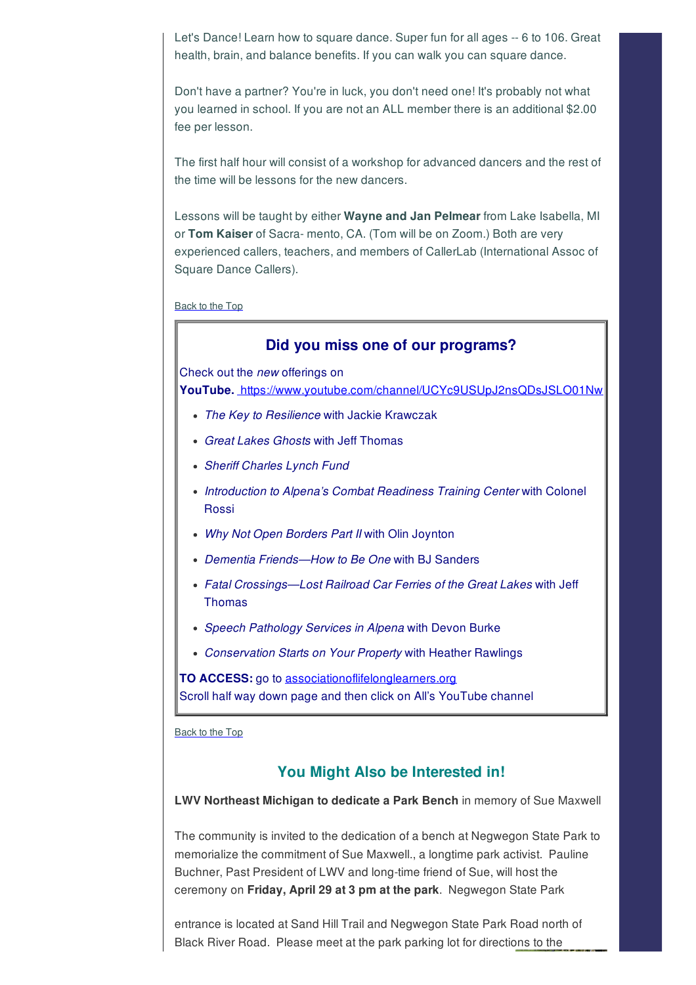Let's Dance! Learn how to square dance. Super fun for all ages -- 6 to 106. Great health, brain, and balance benefits. If you can walk you can square dance.

Don't have a partner? You're in luck, you don't need one! It's probably not what you learned in school. If you are not an ALL member there is an additional \$2.00 fee per lesson.

The first half hour will consist of a workshop for advanced dancers and the rest of the time will be lessons for the new dancers.

Lessons will be taught by either **Wayne and Jan Pelmear** from Lake Isabella, MI or **Tom Kaiser** of Sacra- mento, CA. (Tom will be on Zoom.) Both are very experienced callers, teachers, and members of CallerLab (International Assoc of Square Dance Callers).

Back to the Top

#### **Did you miss one of our programs?**

Check out the *new* offerings on

**YouTube.** https://www.youtube.com/channel/UCYc9USUpJ2nsQDsJSLO01Nw

- *The Key to Resilience* with Jackie Krawczak
- *Great Lakes Ghosts* with Jeff Thomas
- *Sheriff Charles Lynch Fund*
- *Introduction to Alpena's Combat Readiness Training Center* with Colonel Rossi
- *Why Not Open Borders Part II* with Olin Joynton
- *Dementia Friends—How to Be One* with BJ Sanders
- *Fatal Crossings—Lost Railroad Car Ferries of the Great Lakes* with Jeff Thomas
- *Speech Pathology Services in Alpena* with Devon Burke
- *Conservation Starts on Your Property* with Heather Rawlings

**TO ACCESS:** go to associationoflifelonglearners.org Scroll half way down page and then click on All's YouTube channel

Back to the Top

#### **You Might Also be Interested in!**

**LWV Northeast Michigan to dedicate a Park Bench** in memory of Sue Maxwell

The community is invited to the dedication of a bench at Negwegon State Park to memorialize the commitment of Sue Maxwell., a longtime park activist. Pauline Buchner, Past President of LWV and long-time friend of Sue, will host the ceremony on **Friday, April 29 at 3 pm at the park**. Negwegon State Park

entrance is located at Sand Hill Trail and Negwegon State Park Road north of Black River Road. Please meet at the park parking lot for directions to the